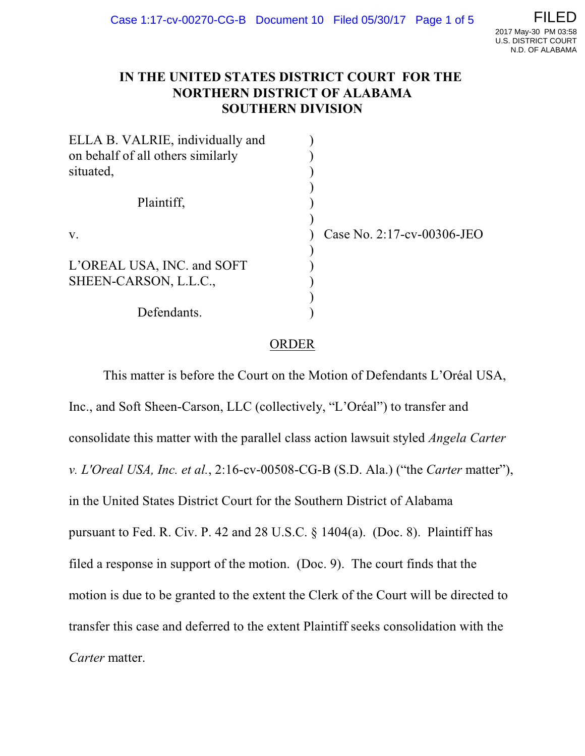## **IN THE UNITED STATES DISTRICT COURT FOR THE NORTHERN DISTRICT OF ALABAMA SOUTHERN DIVISION**

| ELLA B. VALRIE, individually and  |                            |
|-----------------------------------|----------------------------|
| on behalf of all others similarly |                            |
| situated,                         |                            |
|                                   |                            |
| Plaintiff,                        |                            |
| V.                                | Case No. 2:17-cv-00306-JEO |
|                                   |                            |
| L'OREAL USA, INC. and SOFT        |                            |
| SHEEN-CARSON, L.L.C.,             |                            |
|                                   |                            |
| Defendants.                       |                            |

# ORDER

This matter is before the Court on the Motion of Defendants L'Oréal USA, Inc., and Soft Sheen-Carson, LLC (collectively, "L'Oréal") to transfer and consolidate this matter with the parallel class action lawsuit styled *Angela Carter v. L'Oreal USA, Inc. et al.*, 2:16-cv-00508-CG-B (S.D. Ala.) ("the *Carter* matter"), in the United States District Court for the Southern District of Alabama pursuant to Fed. R. Civ. P. 42 and 28 U.S.C. § 1404(a). (Doc. 8). Plaintiff has filed a response in support of the motion. (Doc. 9). The court finds that the motion is due to be granted to the extent the Clerk of the Court will be directed to transfer this case and deferred to the extent Plaintiff seeks consolidation with the *Carter* matter.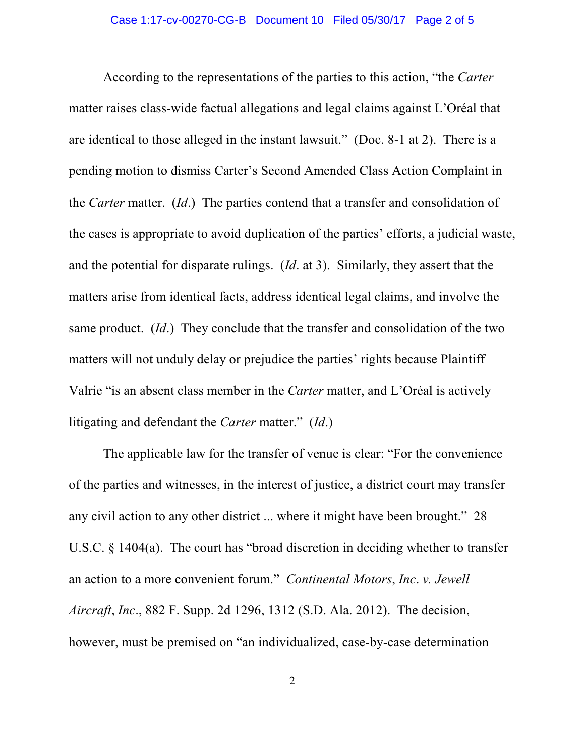According to the representations of the parties to this action, "the *Carter* matter raises class-wide factual allegations and legal claims against L'Oréal that are identical to those alleged in the instant lawsuit." (Doc. 8-1 at 2). There is a pending motion to dismiss Carter's Second Amended Class Action Complaint in the *Carter* matter. (*Id*.) The parties contend that a transfer and consolidation of the cases is appropriate to avoid duplication of the parties' efforts, a judicial waste, and the potential for disparate rulings. (*Id*. at 3). Similarly, they assert that the matters arise from identical facts, address identical legal claims, and involve the same product. (*Id*.) They conclude that the transfer and consolidation of the two matters will not unduly delay or prejudice the parties' rights because Plaintiff Valrie "is an absent class member in the *Carter* matter, and L'Oréal is actively litigating and defendant the *Carter* matter." (*Id*.)

The applicable law for the transfer of venue is clear: "For the convenience of the parties and witnesses, in the interest of justice, a district court may transfer any civil action to any other district ... where it might have been brought." 28 U.S.C. § 1404(a). The court has "broad discretion in deciding whether to transfer an action to a more convenient forum." *Continental Motors*, *Inc*. *v. Jewell Aircraft*, *Inc*., 882 F. Supp. 2d 1296, 1312 (S.D. Ala. 2012). The decision, however, must be premised on "an individualized, case-by-case determination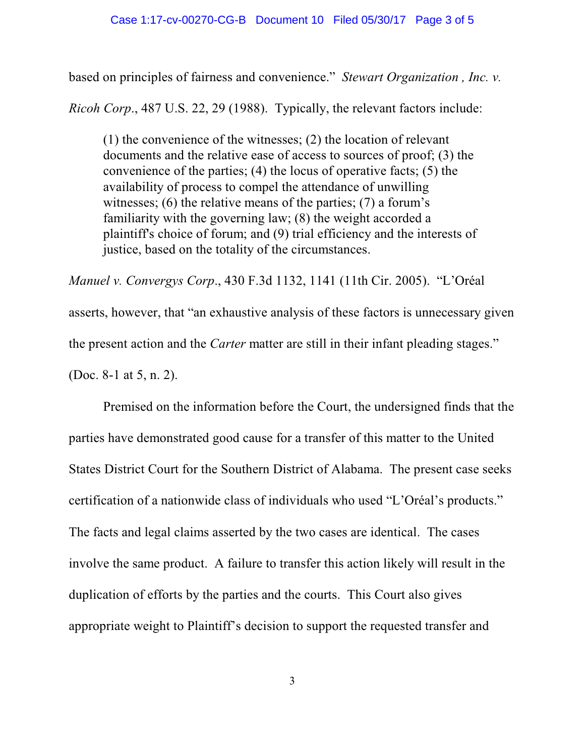### Case 1:17-cv-00270-CG-B Document 10 Filed 05/30/17 Page 3 of 5

based on principles of fairness and convenience." *Stewart Organization , Inc. v.*

*Ricoh Corp*., 487 U.S. 22, 29 (1988). Typically, the relevant factors include:

(1) the convenience of the witnesses; (2) the location of relevant documents and the relative ease of access to sources of proof; (3) the convenience of the parties; (4) the locus of operative facts; (5) the availability of process to compel the attendance of unwilling witnesses; (6) the relative means of the parties; (7) a forum's familiarity with the governing law; (8) the weight accorded a plaintiff's choice of forum; and (9) trial efficiency and the interests of justice, based on the totality of the circumstances.

*Manuel v. Convergys Corp*., 430 F.3d 1132, 1141 (11th Cir. 2005). "L'Oréal asserts, however, that "an exhaustive analysis of these factors is unnecessary given the present action and the *Carter* matter are still in their infant pleading stages." (Doc. 8-1 at 5, n. 2).

Premised on the information before the Court, the undersigned finds that the parties have demonstrated good cause for a transfer of this matter to the United States District Court for the Southern District of Alabama. The present case seeks certification of a nationwide class of individuals who used "L'Oréal's products." The facts and legal claims asserted by the two cases are identical. The cases involve the same product. A failure to transfer this action likely will result in the duplication of efforts by the parties and the courts. This Court also gives appropriate weight to Plaintiff's decision to support the requested transfer and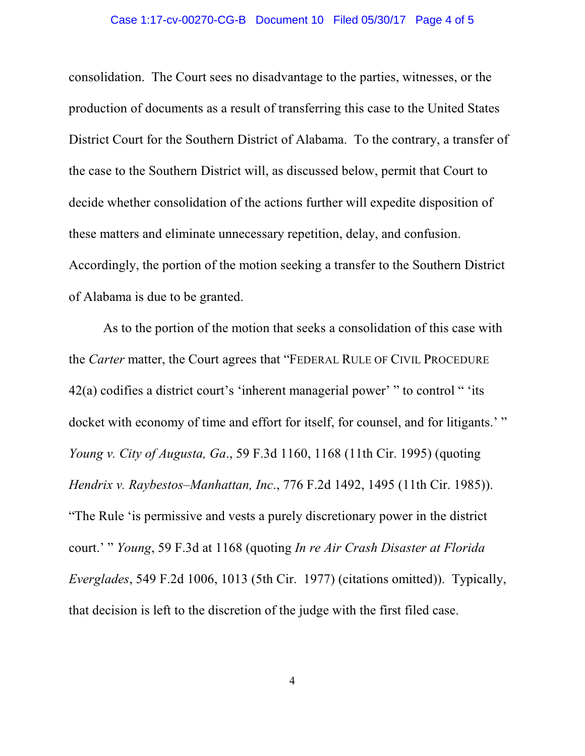#### Case 1:17-cv-00270-CG-B Document 10 Filed 05/30/17 Page 4 of 5

consolidation. The Court sees no disadvantage to the parties, witnesses, or the production of documents as a result of transferring this case to the United States District Court for the Southern District of Alabama. To the contrary, a transfer of the case to the Southern District will, as discussed below, permit that Court to decide whether consolidation of the actions further will expedite disposition of these matters and eliminate unnecessary repetition, delay, and confusion. Accordingly, the portion of the motion seeking a transfer to the Southern District of Alabama is due to be granted.

As to the portion of the motion that seeks a consolidation of this case with the *Carter* matter, the Court agrees that "FEDERAL RULE OF CIVIL PROCEDURE 42(a) codifies a district court's 'inherent managerial power' " to control " 'its docket with economy of time and effort for itself, for counsel, and for litigants.' " *Young v. City of Augusta, Ga*., 59 F.3d 1160, 1168 (11th Cir. 1995) (quoting *Hendrix v. Raybestos–Manhattan, Inc*., 776 F.2d 1492, 1495 (11th Cir. 1985)). "The Rule 'is permissive and vests a purely discretionary power in the district court.' " *Young*, 59 F.3d at 1168 (quoting *In re Air Crash Disaster at Florida Everglades*, 549 F.2d 1006, 1013 (5th Cir. 1977) (citations omitted)). Typically, that decision is left to the discretion of the judge with the first filed case.